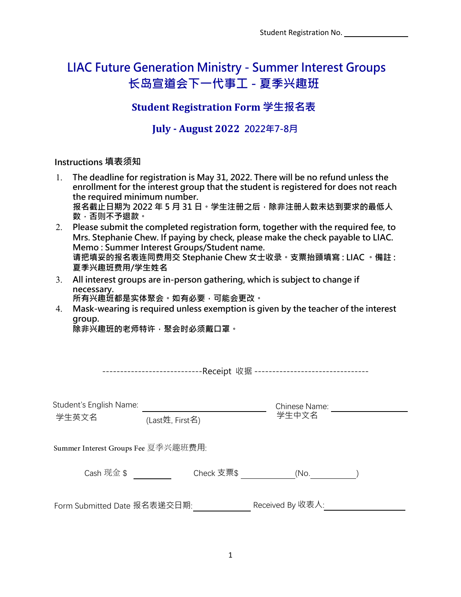Student Registration No.

# **LIAC Future Generation Ministry - Summer Interest Groups 长岛宣道会下一代事工 - 夏季兴趣班**

## **Student Registration Form 学生报名表**

### **July - August 2022 2022年7-8月**

#### **Instructions 填表须知**

- 1. **The deadline for registration is May 31, 2022. There will be no refund unless the enrollment for the interest group that the student is registered for does not reach the required minimum number.** 报名截止日期为 2022 年 5 月 31 日。学生注册之后,除非注册人数未达到要求的最低人 **数,否则不予退款。** 2. **Please submit the completed registration form, together with the required fee, to**
- **Mrs. Stephanie Chew. If paying by check, please make the check payable to LIAC. Memo : Summer Interest Groups/Student name. 请把填妥的报名表连同费用交 Stephanie Chew 女士收录。支票抬頭填寫 : LIAC 。備註 : 夏季兴趣班费用/学生姓名**
- 3. **All interest groups are in-person gathering, which is subject to change if necessary.**

**所有兴趣班都是实体聚会。如有必要,可能会更改。**

4. **Mask-wearing is required unless exemption is given by the teacher of the interest group.**

**除非兴趣班的老师特许,聚会时必须戴口罩。**

----------------------------Receipt 收据 --------------------------------

| Student's English Name:             |                 | Chinese Name:<br>学生中文名 |  |  |  |  |
|-------------------------------------|-----------------|------------------------|--|--|--|--|
| 学生英文名                               | (Last姓, First名) |                        |  |  |  |  |
| Summer Interest Groups Fee 夏季兴趣班费用: |                 |                        |  |  |  |  |
| Cash 现金 \$                          | Check 支票\$      | (No.                   |  |  |  |  |
| Form Submitted Date 报名表递交日期:        |                 | Received By 收表人:       |  |  |  |  |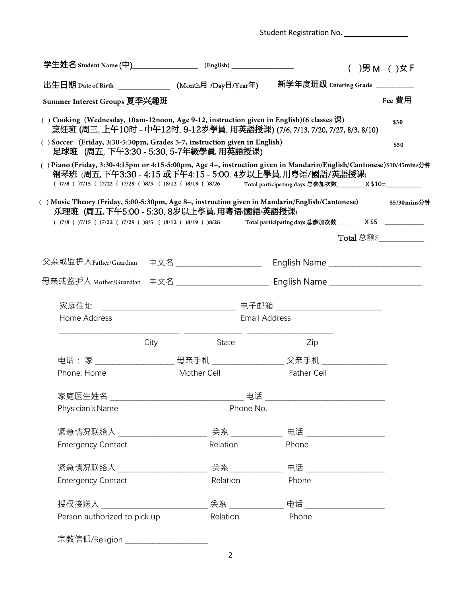|                                                                                                                                                                                                                                                                                          | 学生姓名 Student Name (中)______________________ (English) _________________ |                                        | ( )男 M ( )女 F          |  |  |
|------------------------------------------------------------------------------------------------------------------------------------------------------------------------------------------------------------------------------------------------------------------------------------------|-------------------------------------------------------------------------|----------------------------------------|------------------------|--|--|
| 出生日期 Date of Birth ________________(Month月 /Day日/Year年)                                                                                                                                                                                                                                  |                                                                         | 新学年度班级 Entering Grade _________        |                        |  |  |
| Summer Interest Groups 夏季兴趣班                                                                                                                                                                                                                                                             |                                                                         |                                        | Fee 費用                 |  |  |
| () Cooking (Wednesday, 10am-12noon, Age 9-12, instruction given in English)(6 classes 课)<br>烹饪班 (周三, 上午10时 - 中午12时, 9-12岁學員, 用英語授课) (7/6, 7/13, 7/20, 7/27, 8/3, 8/10)                                                                                                                   |                                                                         |                                        |                        |  |  |
| () Soccer (Friday, 3:30-5:30pm, Grades 5-7, instruction given in English)<br>足球班 (周五, 下午3:30 - 5:30, 5-7年級學員 用英語授课)                                                                                                                                                                      |                                                                         |                                        |                        |  |  |
| () Piano (Friday, 3:30-4:15pm or 4:15-5:00pm, Age 4+, instruction given in Mandarin/English/Cantonese)\$10/45mins分钟<br>钢琴班 (周五,下午3:30 - 4:15 或下午4:15 - 5:00, 4岁以上學員,用粤语/國語/英語授课)<br>()7/8 ()7/15 ()7/22 ()7/29 ()8/5 ()8/12 ()8/19 ()8/26 Total participating days 总参加次数________________ |                                                                         |                                        |                        |  |  |
| () Music Theory (Friday, 5:00-5:30pm, Age 8+, instruction given in Mandarin/English/Cantonese) \$5/30mins分钟<br>乐理班 (周五,下午5:00 - 5:30, 8岁以上學員,用粤语/國語/英語授课)                                                                                                                                |                                                                         |                                        |                        |  |  |
| ()7/8 ()7/15 ()7/22 ()7/29 ()8/5 ()8/12 ()8/19 ()8/26 Total participating days 总参加次数________________ X \$5 = ___________________________                                                                                                                                                 |                                                                         |                                        |                        |  |  |
|                                                                                                                                                                                                                                                                                          |                                                                         |                                        | Total 总额\$____________ |  |  |
| 父亲或监护人Father/Guardian 中文名 ______________________                                                                                                                                                                                                                                         |                                                                         | English Name _________________________ |                        |  |  |
|                                                                                                                                                                                                                                                                                          |                                                                         |                                        |                        |  |  |
|                                                                                                                                                                                                                                                                                          |                                                                         |                                        |                        |  |  |
| Home Address                                                                                                                                                                                                                                                                             | <b>Email Address</b>                                                    |                                        |                        |  |  |
|                                                                                                                                                                                                                                                                                          |                                                                         |                                        |                        |  |  |
| City                                                                                                                                                                                                                                                                                     | State                                                                   | Zip                                    |                        |  |  |
|                                                                                                                                                                                                                                                                                          |                                                                         |                                        |                        |  |  |
| Phone: Home                                                                                                                                                                                                                                                                              | Mother Cell                                                             | <b>Father Cell</b>                     |                        |  |  |
|                                                                                                                                                                                                                                                                                          |                                                                         |                                        |                        |  |  |
| Physician's Name                                                                                                                                                                                                                                                                         | Phone No.                                                               |                                        |                        |  |  |
|                                                                                                                                                                                                                                                                                          |                                                                         |                                        |                        |  |  |
| <b>Emergency Contact</b>                                                                                                                                                                                                                                                                 | Relation                                                                | Phone                                  |                        |  |  |
|                                                                                                                                                                                                                                                                                          |                                                                         |                                        |                        |  |  |
| <b>Emergency Contact</b>                                                                                                                                                                                                                                                                 | Relation                                                                | Phone                                  |                        |  |  |
| 授权接送人 ___________________________                                                                                                                                                                                                                                                        |                                                                         |                                        |                        |  |  |

Student Registration No.